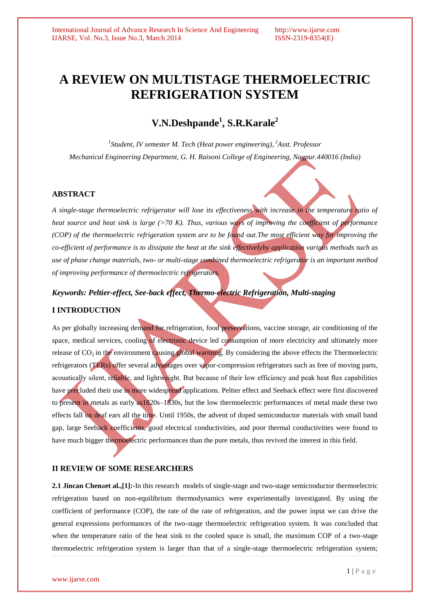# **A REVIEW ON MULTISTAGE THERMOELECTRIC REFRIGERATION SYSTEM**

# **V.N.Deshpande<sup>1</sup> , S.R.Karale<sup>2</sup>**

*1 Student, IV semester M. Tech (Heat power engineering), <sup>2</sup>Asst. Professor Mechanical Engineering Department, G. H. Raisoni College of Engineering, Nagpur.440016 (India)*

## **ABSTRACT**

*A single-stage thermoelectric refrigerator will lose its effectiveness with increase in the temperature ratio of heat source and heat sink is large (>70 K). Thus, various ways of improving the coefficient of performance (COP) of the thermoelectric refrigeration system are to be found out.The most efficient way for improving the co-efficient of performance is to dissipate the heat at the sink effectivelyby application various methods such as use of phase change materials, two- or multi-stage combined thermoelectric refrigerator is an important method of improving performance of thermoelectric refrigerators.*

# *Keywords: Peltier-effect, See-back effect, Thermo-electric Refrigeration, Multi-staging*

### **I INTRODUCTION**

As per globally increasing demand for refrigeration, food preservations, vaccine storage, air conditioning of the space, medical services, cooling of electronic device led consumption of more electricity and ultimately more release of  $CO<sub>2</sub>$  in the environment causing global warming. By considering the above effects the Thermoelectric refrigerators (TERs) offer several advantages over vapor-compression refrigerators such as free of moving parts, acoustically silent, reliable, and lightweight. But because of their low efficiency and peak heat flux capabilities have precluded their use in more widespread applications. Peltier effect and Seeback effect were first discovered to present in metals as early as1820s–1830s, but the low thermoelectric performances of metal made these two effects fall on deaf ears all the time. Until 1950s, the advent of doped semiconductor materials with small band gap, large Seeback coefficients, good electrical conductivities, and poor thermal conductivities were found to have much bigger thermoelectric performances than the pure metals, thus revived the interest in this field.

# **II REVIEW OF SOME RESEARCHERS**

**2.1 Jincan Chenaet al.,[1]:-**In this research models of single-stage and two-stage semiconductor thermoelectric refrigeration based on non-equilibrium thermodynamics were experimentally investigated. By using the coefficient of performance (COP), the rate of the rate of refrigeration, and the power input we can drive the general expressions performances of the two-stage thermoelectric refrigeration system. It was concluded that when the temperature ratio of the heat sink to the cooled space is small, the maximum COP of a two-stage thermoelectric refrigeration system is larger than that of a single-stage thermoelectric refrigeration system;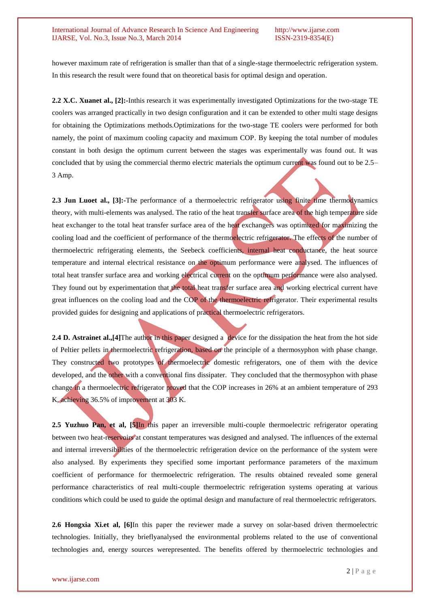### International Journal of Advance Research In Science And Engineering http://www.ijarse.com IJARSE, Vol. No.3, Issue No.3, March 2014 ISSN-2319-8354(E)

however maximum rate of refrigeration is smaller than that of a single-stage thermoelectric refrigeration system. In this research the result were found that on theoretical basis for optimal design and operation.

**2.2 X.C. Xuanet al., [2]:-**Inthis research it was experimentally investigated Optimizations for the two-stage TE coolers was arranged practically in two design configuration and it can be extended to other multi stage designs for obtaining the Optimizations methods.Optimizations for the two-stage TE coolers were performed for both namely, the point of maximum cooling capacity and maximum COP. By keeping the total number of modules constant in both design the optimum current between the stages was experimentally was found out. It was concluded that by using the commercial thermo electric materials the optimum current was found out to be 2.5– 3 Amp.

**2.3 Jun Luoet al., [3]:-**The performance of a thermoelectric refrigerator using finite time thermodynamics theory, with multi-elements was analysed. The ratio of the heat transfer surface area of the high temperature side heat exchanger to the total heat transfer surface area of the heat exchangers was optimized for maximizing the cooling load and the coefficient of performance of the thermoelectric refrigerator. The effects of the number of thermoelectric refrigerating elements, the Seebeck coefficients, internal heat conductance, the heat source temperature and internal electrical resistance on the optimum performance were analysed. The influences of total heat transfer surface area and working electrical current on the optimum performance were also analysed. They found out by experimentation that the total heat transfer surface area and working electrical current have great influences on the cooling load and the COP of the thermoelectric refrigerator. Their experimental results provided guides for designing and applications of practical thermoelectric refrigerators.

**2.4 D. Astrainet al.,**[4]The author in this paper designed a device for the dissipation the heat from the hot side of Peltier pellets in thermoelectric refrigeration, based on the principle of a thermosyphon with phase change. They constructed two prototypes of thermoelectric domestic refrigerators, one of them with the device developed, and the other with a conventional fins dissipater. They concluded that the thermosyphon with phase change in a thermoelectric refrigerator proved that the COP increases in 26% at an ambient temperature of 293 K, achieving 36.5% of improvement at 303 K.

**2.5 Yuzhuo Pan, et al, [5]**In this paper an irreversible multi-couple thermoelectric refrigerator operating between two heat-reservoirs at constant temperatures was designed and analysed. The influences of the external and internal irreversibilities of the thermoelectric refrigeration device on the performance of the system were also analysed. By experiments they specified some important performance parameters of the maximum coefficient of performance for thermoelectric refrigeration. The results obtained revealed some general performance characteristics of real multi-couple thermoelectric refrigeration systems operating at various conditions which could be used to guide the optimal design and manufacture of real thermoelectric refrigerators.

**2.6 Hongxia Xi.et al, [6]**In this paper the reviewer made a survey on solar-based driven thermoelectric technologies. Initially, they brieflyanalysed the environmental problems related to the use of conventional technologies and, energy sources werepresented. The benefits offered by thermoelectric technologies and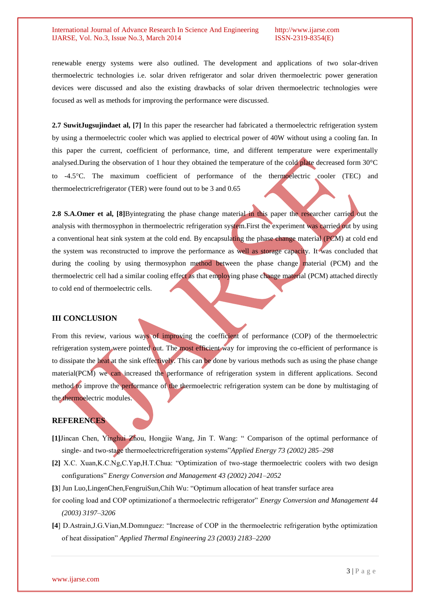### International Journal of Advance Research In Science And Engineering http://www.ijarse.com IJARSE, Vol. No.3, Issue No.3, March 2014 ISSN-2319-8354(E)

renewable energy systems were also outlined. The development and applications of two solar-driven thermoelectric technologies i.e. solar driven refrigerator and solar driven thermoelectric power generation devices were discussed and also the existing drawbacks of solar driven thermoelectric technologies were focused as well as methods for improving the performance were discussed.

**2.7 SuwitJugsujindaet al, [7]** In this paper the researcher had fabricated a thermoelectric refrigeration system by using a thermoelectric cooler which was applied to electrical power of 40W without using a cooling fan. In this paper the current, coefficient of performance, time, and different temperature were experimentally analysed.During the observation of 1 hour they obtained the temperature of the cold plate decreased form 30°C to -4.5C. The maximum coefficient of performance of the thermoelectric cooler (TEC) and thermoelectricrefrigerator (TER) were found out to be 3 and 0.65

**2.8 S.A.Omer et al, [8]**Byintegrating the phase change material in this paper the researcher carried out the analysis with thermosyphon in thermoelectric refrigeration system.First the experiment was carried out by using a conventional heat sink system at the cold end. By encapsulating the phase change material (PCM) at cold end the system was reconstructed to improve the performance as well as storage capacity. It was concluded that during the cooling by using thermosyphon method between the phase change material (PCM) and the thermoelectric cell had a similar cooling effect as that employing phase change material (PCM) attached directly to cold end of thermoelectric cells.

### **III CONCLUSION**

From this review, various ways of improving the coefficient of performance (COP) of the thermoelectric refrigeration system were pointed out. The most efficient way for improving the co-efficient of performance is to dissipate the heat at the sink effectively. This can be done by various methods such as using the phase change material(PCM) we can increased the performance of refrigeration system in different applications. Second method to improve the performance of the thermoelectric refrigeration system can be done by multistaging of the thermoelectric modules.

# **REFERENCES**

- **[1]**Jincan Chen, Yinghui Zhou, Hongjie Wang, Jin T. Wang: " Comparison of the optimal performance of single- and two-stage thermoelectricrefrigeration systems"*Applied Energy 73 (2002) 285–298*
- **[2]** X.C. Xuan,K.C.Ng,C.Yap,H.T.Chua: "Optimization of two-stage thermoelectric coolers with two design configurations" *Energy Conversion and Management 43 (2002) 2041–2052*
- **[3**] Jun Luo,LingenChen,FengruiSun,Chih Wu: "Optimum allocation of heat transfer surface area
- for cooling load and COP optimizationof a thermoelectric refrigerator" *Energy Conversion and Management 44 (2003) 3197–3206*
- **[4**] D.Astrain,J.G.Vian,M.Domınguez: "Increase of COP in the thermoelectric refrigeration bythe optimization of heat dissipation" *Applied Thermal Engineering 23 (2003) 2183–2200*